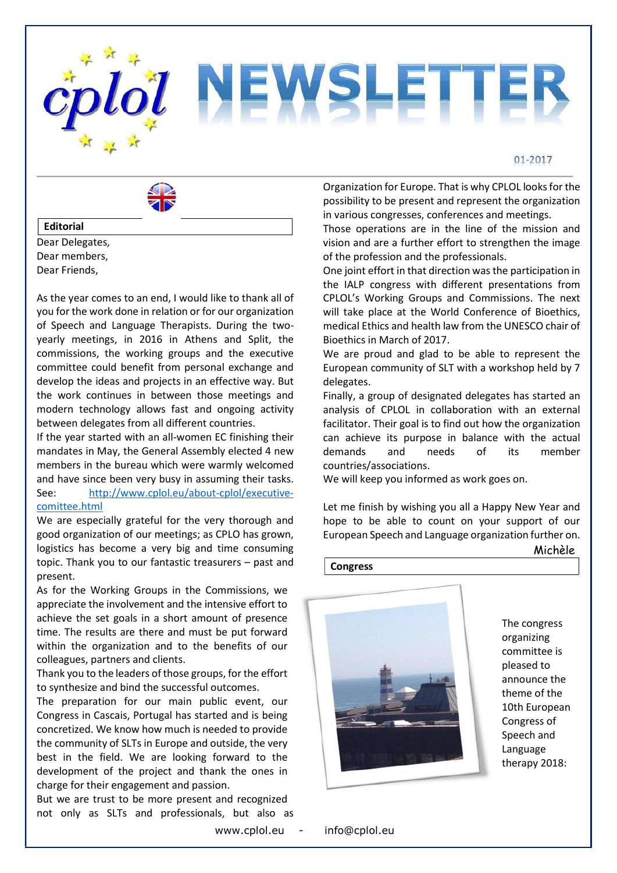



### Editorial

Dear Delegates, Dear members, Dear Friends,

As the year comes to an end, I would like to thank all of you for the work done in relation or for our organization of Speech and Language Therapists. During the twoyearly meetings, in 2016 in Athens and Split, the commissions, the working groups and the executive committee could benefit from personal exchange and develop the ideas and projects in an effective way. But the work continues in between those meetings and modern technology allows fast and ongoing activity between delegates from all different countries.

If the year started with an all-women EC finishing their mandates in May, the General Assembly elected 4 new members in the bureau which were warmly welcomed and have since been very busy in assuming their tasks. See: http://www.cplol.eu/about-cplol/executivecomittee.html

We are especially grateful for the very thorough and good organization of our meetings; as CPLO has grown, logistics has become a very big and time consuming topic. Thank you to our fantastic treasurers – past and present.

As for the Working Groups in the Commissions, we appreciate the involvement and the intensive effort to achieve the set goals in a short amount of presence time. The results are there and must be put forward within the organization and to the benefits of our colleagues, partners and clients.

Thank you to the leaders of those groups, for the effort to synthesize and bind the successful outcomes.

The preparation for our main public event, our Congress in Cascais, Portugal has started and is being concretized. We know how much is needed to provide the community of SLTs in Europe and outside, the very best in the field. We are looking forward to the development of the project and thank the ones in charge for their engagement and passion.

But we are trust to be more present and recognized not only as SLTs and professionals, but also as

www.cplol.eu - info@cplol.eu

Organization for Europe. That is why CPLOL looks for the possibility to be present and represent the organization in various congresses, conferences and meetings.

Those operations are in the line of the mission and vision and are a further effort to strengthen the image of the profession and the professionals.

One joint effort in that direction was the participation in the IALP congress with different presentations from CPLOL's Working Groups and Commissions. The next will take place at the World Conference of Bioethics, medical Ethics and health law from the UNESCO chair of Bioethics in March of 2017.

We are proud and glad to be able to represent the European community of SLT with a workshop held by 7 delegates.

Finally, a group of designated delegates has started an analysis of CPLOL in collaboration with an external facilitator. Their goal is to find out how the organization can achieve its purpose in balance with the actual demands and needs of its member countries/associations.

We will keep you informed as work goes on.

Let me finish by wishing you all a Happy New Year and hope to be able to count on your support of our European Speech and Language organization further on.

Michèle

**Congress** 



The congress organizing committee is pleased to announce the theme of the 10th European Congress of Speech and Language therapy 2018: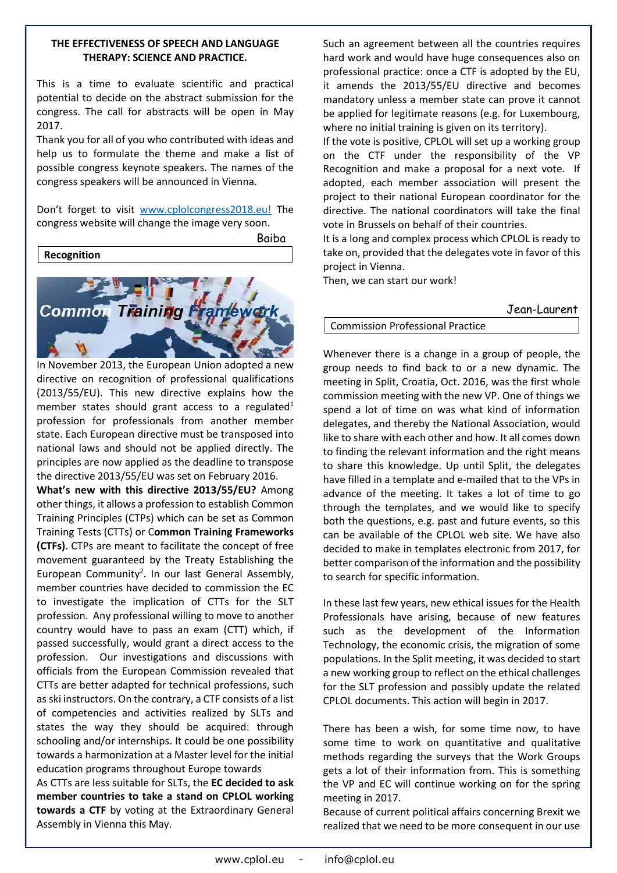## THE EFFECTIVENESS OF SPEECH AND LANGUAGE THERAPY: SCIENCE AND PRACTICE.

This is a time to evaluate scientific and practical potential to decide on the abstract submission for the congress. The call for abstracts will be open in May 2017.

Thank you for all of you who contributed with ideas and help us to formulate the theme and make a list of possible congress keynote speakers. The names of the congress speakers will be announced in Vienna.

Don't forget to visit www.cplolcongress2018.eu! The congress website will change the image very soon.



In November 2013, the European Union adopted a new directive on recognition of professional qualifications (2013/55/EU). This new directive explains how the member states should grant access to a regulated<sup>1</sup> profession for professionals from another member state. Each European directive must be transposed into national laws and should not be applied directly. The principles are now applied as the deadline to transpose the directive 2013/55/EU was set on February 2016.

What's new with this directive 2013/55/EU? Among other things, it allows a profession to establish Common Training Principles (CTPs) which can be set as Common Training Tests (CTTs) or Common Training Frameworks (CTFs). CTPs are meant to facilitate the concept of free movement guaranteed by the Treaty Establishing the European Community<sup>2</sup>. In our last General Assembly, member countries have decided to commission the EC to investigate the implication of CTTs for the SLT profession. Any professional willing to move to another country would have to pass an exam (CTT) which, if passed successfully, would grant a direct access to the profession. Our investigations and discussions with officials from the European Commission revealed that CTTs are better adapted for technical professions, such as ski instructors. On the contrary, a CTF consists of a list of competencies and activities realized by SLTs and states the way they should be acquired: through schooling and/or internships. It could be one possibility towards a harmonization at a Master level for the initial education programs throughout Europe towards

As CTTs are less suitable for SLTs, the EC decided to ask member countries to take a stand on CPLOL working towards a CTF by voting at the Extraordinary General Assembly in Vienna this May.

Such an agreement between all the countries requires hard work and would have huge consequences also on professional practice: once a CTF is adopted by the EU, it amends the 2013/55/EU directive and becomes mandatory unless a member state can prove it cannot be applied for legitimate reasons (e.g. for Luxembourg, where no initial training is given on its territory).

If the vote is positive, CPLOL will set up a working group on the CTF under the responsibility of the VP Recognition and make a proposal for a next vote. If adopted, each member association will present the project to their national European coordinator for the directive. The national coordinators will take the final vote in Brussels on behalf of their countries.

It is a long and complex process which CPLOL is ready to take on, provided that the delegates vote in favor of this project in Vienna.

Then, we can start our work!

Jean-Laurent

# Commission Professional Practice

Whenever there is a change in a group of people, the group needs to find back to or a new dynamic. The meeting in Split, Croatia, Oct. 2016, was the first whole commission meeting with the new VP. One of things we spend a lot of time on was what kind of information delegates, and thereby the National Association, would like to share with each other and how. It all comes down to finding the relevant information and the right means to share this knowledge. Up until Split, the delegates have filled in a template and e-mailed that to the VPs in advance of the meeting. It takes a lot of time to go through the templates, and we would like to specify both the questions, e.g. past and future events, so this can be available of the CPLOL web site. We have also decided to make in templates electronic from 2017, for better comparison of the information and the possibility to search for specific information.

In these last few years, new ethical issues for the Health Professionals have arising, because of new features such as the development of the Information Technology, the economic crisis, the migration of some populations. In the Split meeting, it was decided to start a new working group to reflect on the ethical challenges for the SLT profession and possibly update the related CPLOL documents. This action will begin in 2017.

There has been a wish, for some time now, to have some time to work on quantitative and qualitative methods regarding the surveys that the Work Groups gets a lot of their information from. This is something the VP and EC will continue working on for the spring meeting in 2017.

Because of current political affairs concerning Brexit we realized that we need to be more consequent in our use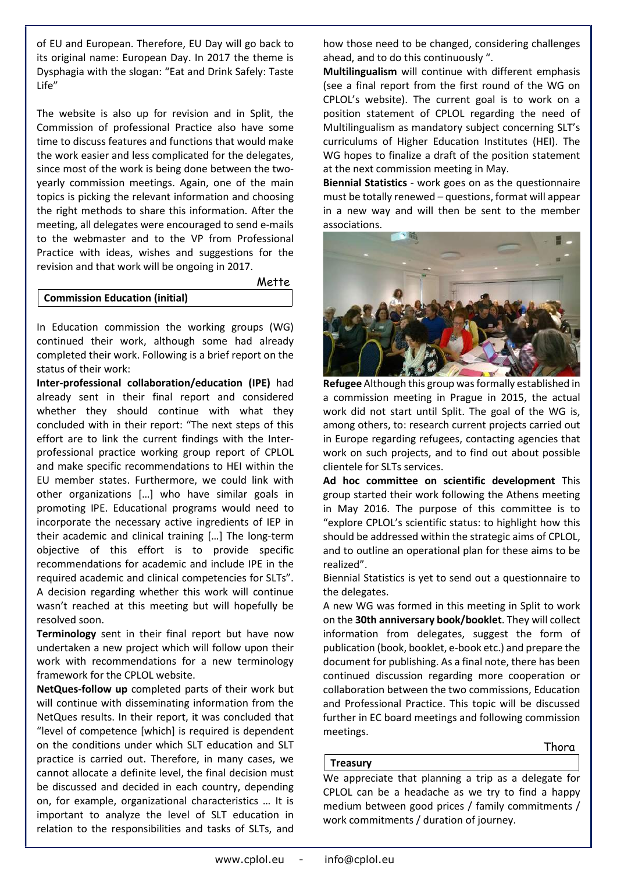of EU and European. Therefore, EU Day will go back to its original name: European Day. In 2017 the theme is Dysphagia with the slogan: "Eat and Drink Safely: Taste Life"

The website is also up for revision and in Split, the Commission of professional Practice also have some time to discuss features and functions that would make the work easier and less complicated for the delegates, since most of the work is being done between the twoyearly commission meetings. Again, one of the main topics is picking the relevant information and choosing the right methods to share this information. After the meeting, all delegates were encouraged to send e-mails to the webmaster and to the VP from Professional Practice with ideas, wishes and suggestions for the revision and that work will be ongoing in 2017.

**Mette** 

#### Commission Education (initial)

In Education commission the working groups (WG) continued their work, although some had already completed their work. Following is a brief report on the status of their work:

Inter-professional collaboration/education (IPE) had already sent in their final report and considered whether they should continue with what they concluded with in their report: "The next steps of this effort are to link the current findings with the Interprofessional practice working group report of CPLOL and make specific recommendations to HEI within the EU member states. Furthermore, we could link with other organizations […] who have similar goals in promoting IPE. Educational programs would need to incorporate the necessary active ingredients of IEP in their academic and clinical training […] The long-term objective of this effort is to provide specific recommendations for academic and include IPE in the required academic and clinical competencies for SLTs". A decision regarding whether this work will continue wasn't reached at this meeting but will hopefully be resolved soon.

Terminology sent in their final report but have now undertaken a new project which will follow upon their work with recommendations for a new terminology framework for the CPLOL website.

NetQues-follow up completed parts of their work but will continue with disseminating information from the NetQues results. In their report, it was concluded that "level of competence [which] is required is dependent on the conditions under which SLT education and SLT practice is carried out. Therefore, in many cases, we cannot allocate a definite level, the final decision must be discussed and decided in each country, depending on, for example, organizational characteristics … It is important to analyze the level of SLT education in relation to the responsibilities and tasks of SLTs, and how those need to be changed, considering challenges ahead, and to do this continuously ".

Multilingualism will continue with different emphasis (see a final report from the first round of the WG on CPLOL's website). The current goal is to work on a position statement of CPLOL regarding the need of Multilingualism as mandatory subject concerning SLT's curriculums of Higher Education Institutes (HEI). The WG hopes to finalize a draft of the position statement at the next commission meeting in May.

Biennial Statistics - work goes on as the questionnaire must be totally renewed – questions, format will appear in a new way and will then be sent to the member associations.



Refugee Although this group was formally established in a commission meeting in Prague in 2015, the actual work did not start until Split. The goal of the WG is, among others, to: research current projects carried out in Europe regarding refugees, contacting agencies that work on such projects, and to find out about possible clientele for SLTs services.

Ad hoc committee on scientific development This group started their work following the Athens meeting in May 2016. The purpose of this committee is to "explore CPLOL's scientific status: to highlight how this should be addressed within the strategic aims of CPLOL, and to outline an operational plan for these aims to be realized".

Biennial Statistics is yet to send out a questionnaire to the delegates.

A new WG was formed in this meeting in Split to work on the 30th anniversary book/booklet. They will collect information from delegates, suggest the form of publication (book, booklet, e-book etc.) and prepare the document for publishing. As a final note, there has been continued discussion regarding more cooperation or collaboration between the two commissions, Education and Professional Practice. This topic will be discussed further in EC board meetings and following commission meetings.

# Treasury

Thora

We appreciate that planning a trip as a delegate for CPLOL can be a headache as we try to find a happy medium between good prices / family commitments / work commitments / duration of journey.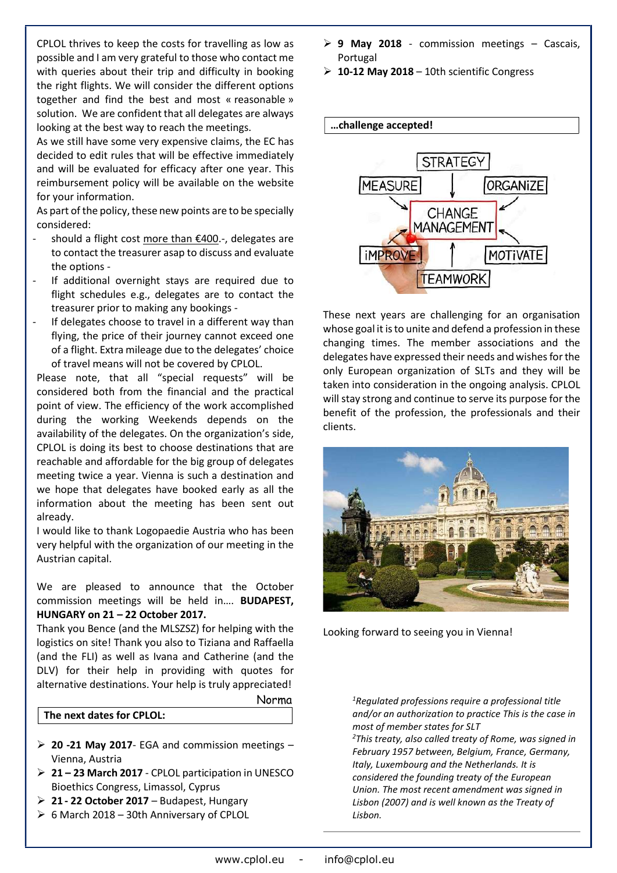CPLOL thrives to keep the costs for travelling as low as possible and I am very grateful to those who contact me with queries about their trip and difficulty in booking the right flights. We will consider the different options together and find the best and most « reasonable » solution. We are confident that all delegates are always looking at the best way to reach the meetings.

As we still have some very expensive claims, the EC has decided to edit rules that will be effective immediately and will be evaluated for efficacy after one year. This reimbursement policy will be available on the website for your information.

As part of the policy, these new points are to be specially considered:

- should a flight cost more than €400.-, delegates are to contact the treasurer asap to discuss and evaluate the options -
- If additional overnight stays are required due to flight schedules e.g., delegates are to contact the treasurer prior to making any bookings -
- If delegates choose to travel in a different way than flying, the price of their journey cannot exceed one of a flight. Extra mileage due to the delegates' choice of travel means will not be covered by CPLOL.

Please note, that all "special requests" will be considered both from the financial and the practical point of view. The efficiency of the work accomplished during the working Weekends depends on the availability of the delegates. On the organization's side, CPLOL is doing its best to choose destinations that are reachable and affordable for the big group of delegates meeting twice a year. Vienna is such a destination and we hope that delegates have booked early as all the information about the meeting has been sent out already.

I would like to thank Logopaedie Austria who has been very helpful with the organization of our meeting in the Austrian capital.

We are pleased to announce that the October commission meetings will be held in…. BUDAPEST, HUNGARY on 21 – 22 October 2017.

Thank you Bence (and the MLSZSZ) for helping with the logistics on site! Thank you also to Tiziana and Raffaella (and the FLI) as well as Ivana and Catherine (and the DLV) for their help in providing with quotes for alternative destinations. Your help is truly appreciated!

## Norma

### The next dates for CPLOL:

- $\geq$  20 -21 May 2017- EGA and commission meetings Vienna, Austria
- 21 23 March 2017 CPLOL participation in UNESCO Bioethics Congress, Limassol, Cyprus
- $\geq 21$  22 October 2017 Budapest, Hungary
- $\triangleright$  6 March 2018 30th Anniversary of CPLOL
- $\geq 9$  May 2018 commission meetings Cascais, Portugal
- $\geq 10-12$  May 2018 10th scientific Congress



These next years are challenging for an organisation whose goal it is to unite and defend a profession in these changing times. The member associations and the delegates have expressed their needs and wishes for the only European organization of SLTs and they will be taken into consideration in the ongoing analysis. CPLOL will stay strong and continue to serve its purpose for the benefit of the profession, the professionals and their clients.



Looking forward to seeing you in Vienna!

 $1$ Regulated professions require a professional title and/or an authorization to practice This is the case in most of member states for SLT

 $2$ This treaty, also called treaty of Rome, was signed in February 1957 between, Belgium, France, Germany, Italy, Luxembourg and the Netherlands. It is considered the founding treaty of the European Union. The most recent amendment was signed in Lisbon (2007) and is well known as the Treaty of Lisbon.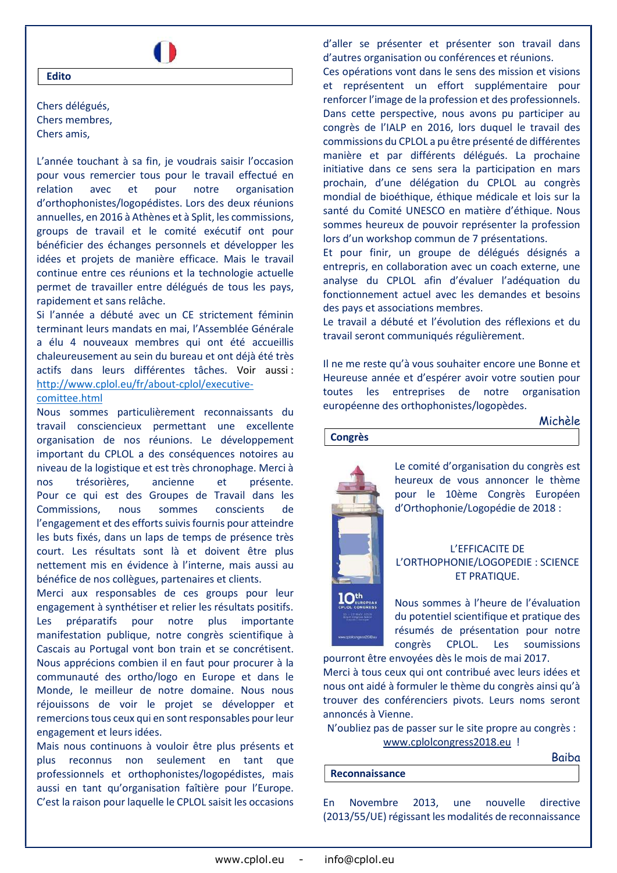

Chers délégués, Chers membres, Chers amis,

Edito

L'année touchant à sa fin, je voudrais saisir l'occasion pour vous remercier tous pour le travail effectué en relation avec et pour notre organisation d'orthophonistes/logopédistes. Lors des deux réunions annuelles, en 2016 à Athènes et à Split, les commissions, groups de travail et le comité exécutif ont pour bénéficier des échanges personnels et développer les idées et projets de manière efficace. Mais le travail continue entre ces réunions et la technologie actuelle permet de travailler entre délégués de tous les pays, rapidement et sans relâche.

Si l'année a débuté avec un CE strictement féminin terminant leurs mandats en mai, l'Assemblée Générale a élu 4 nouveaux membres qui ont été accueillis chaleureusement au sein du bureau et ont déjà été très actifs dans leurs différentes tâches. Voir aussi : http://www.cplol.eu/fr/about-cplol/executive-

### comittee.html

Nous sommes particulièrement reconnaissants du travail consciencieux permettant une excellente organisation de nos réunions. Le développement important du CPLOL a des conséquences notoires au niveau de la logistique et est très chronophage. Merci à nos trésorières, ancienne et présente. Pour ce qui est des Groupes de Travail dans les Commissions, nous sommes conscients de l'engagement et des efforts suivis fournis pour atteindre les buts fixés, dans un laps de temps de présence très court. Les résultats sont là et doivent être plus nettement mis en évidence à l'interne, mais aussi au bénéfice de nos collègues, partenaires et clients.

Merci aux responsables de ces groups pour leur engagement à synthétiser et relier les résultats positifs. Les préparatifs pour notre plus importante manifestation publique, notre congrès scientifique à Cascais au Portugal vont bon train et se concrétisent. Nous apprécions combien il en faut pour procurer à la communauté des ortho/logo en Europe et dans le Monde, le meilleur de notre domaine. Nous nous réjouissons de voir le projet se développer et remercions tous ceux qui en sont responsables pour leur engagement et leurs idées.

Mais nous continuons à vouloir être plus présents et plus reconnus non seulement en tant que professionnels et orthophonistes/logopédistes, mais aussi en tant qu'organisation faîtière pour l'Europe. C'est la raison pour laquelle le CPLOL saisit les occasions d'aller se présenter et présenter son travail dans d'autres organisation ou conférences et réunions.

Ces opérations vont dans le sens des mission et visions et représentent un effort supplémentaire pour renforcer l'image de la profession et des professionnels. Dans cette perspective, nous avons pu participer au congrès de l'IALP en 2016, lors duquel le travail des commissions du CPLOL a pu être présenté de différentes manière et par différents délégués. La prochaine initiative dans ce sens sera la participation en mars prochain, d'une délégation du CPLOL au congrès mondial de bioéthique, éthique médicale et lois sur la santé du Comité UNESCO en matière d'éthique. Nous sommes heureux de pouvoir représenter la profession lors d'un workshop commun de 7 présentations.

Et pour finir, un groupe de délégués désignés a entrepris, en collaboration avec un coach externe, une analyse du CPLOL afin d'évaluer l'adéquation du fonctionnement actuel avec les demandes et besoins des pays et associations membres.

Le travail a débuté et l'évolution des réflexions et du travail seront communiqués régulièrement.

Il ne me reste qu'à vous souhaiter encore une Bonne et Heureuse année et d'espérer avoir votre soutien pour toutes les entreprises de notre organisation européenne des orthophonistes/logopèdes.

Michèle

Congrès



Le comité d'organisation du congrès est heureux de vous annoncer le thème pour le 10ème Congrès Européen d'Orthophonie/Logopédie de 2018 :

## L'EFFICACITE DE L'ORTHOPHONIE/LOGOPEDIE : SCIENCE ET PRATIQUE.

Nous sommes à l'heure de l'évaluation du potentiel scientifique et pratique des résumés de présentation pour notre congrès CPLOL. Les soumissions pourront être envoyées dès le mois de mai 2017.

Merci à tous ceux qui ont contribué avec leurs idées et nous ont aidé à formuler le thème du congrès ainsi qu'à trouver des conférenciers pivots. Leurs noms seront annoncés à Vienne.

N'oubliez pas de passer sur le site propre au congrès : www.cplolcongress2018.eu !

Baiba

#### Reconnaissance

En Novembre 2013, une nouvelle directive (2013/55/UE) régissant les modalités de reconnaissance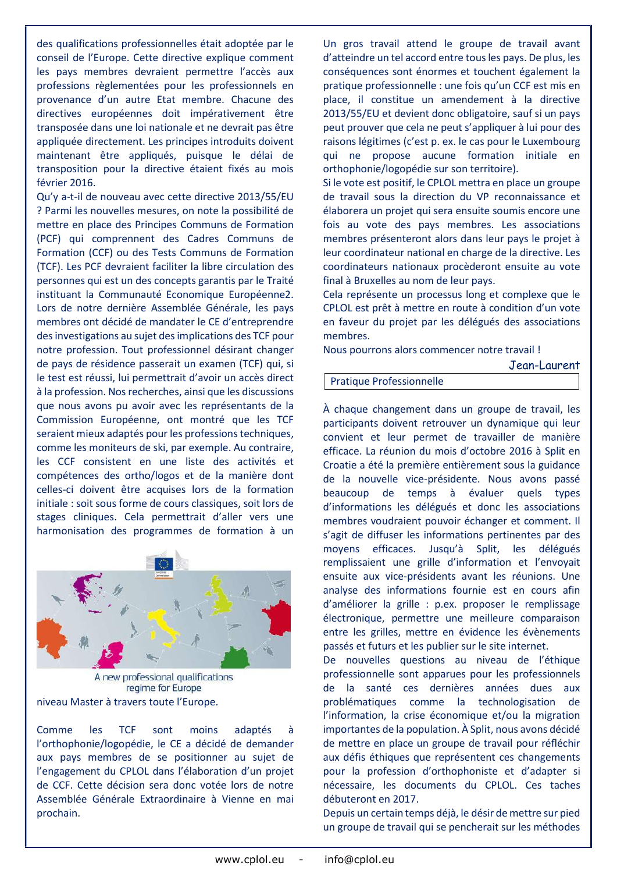des qualifications professionnelles était adoptée par le conseil de l'Europe. Cette directive explique comment les pays membres devraient permettre l'accès aux professions règlementées pour les professionnels en provenance d'un autre Etat membre. Chacune des directives européennes doit impérativement être transposée dans une loi nationale et ne devrait pas être appliquée directement. Les principes introduits doivent maintenant être appliqués, puisque le délai de transposition pour la directive étaient fixés au mois février 2016.

Qu'y a-t-il de nouveau avec cette directive 2013/55/EU ? Parmi les nouvelles mesures, on note la possibilité de mettre en place des Principes Communs de Formation (PCF) qui comprennent des Cadres Communs de Formation (CCF) ou des Tests Communs de Formation (TCF). Les PCF devraient faciliter la libre circulation des personnes qui est un des concepts garantis par le Traité instituant la Communauté Economique Européenne2. Lors de notre dernière Assemblée Générale, les pays membres ont décidé de mandater le CE d'entreprendre des investigations au sujet des implications des TCF pour notre profession. Tout professionnel désirant changer de pays de résidence passerait un examen (TCF) qui, si le test est réussi, lui permettrait d'avoir un accès direct à la profession. Nos recherches, ainsi que les discussions que nous avons pu avoir avec les représentants de la Commission Européenne, ont montré que les TCF seraient mieux adaptés pour les professions techniques, comme les moniteurs de ski, par exemple. Au contraire, les CCF consistent en une liste des activités et compétences des ortho/logos et de la manière dont celles-ci doivent être acquises lors de la formation initiale : soit sous forme de cours classiques, soit lors de stages cliniques. Cela permettrait d'aller vers une harmonisation des programmes de formation à un



A new professional qualifications regime for Europe niveau Master à travers toute l'Europe.

Comme les TCF sont moins adaptés à l'orthophonie/logopédie, le CE a décidé de demander aux pays membres de se positionner au sujet de l'engagement du CPLOL dans l'élaboration d'un projet de CCF. Cette décision sera donc votée lors de notre Assemblée Générale Extraordinaire à Vienne en mai prochain.

Un gros travail attend le groupe de travail avant d'atteindre un tel accord entre tous les pays. De plus, les conséquences sont énormes et touchent également la pratique professionnelle : une fois qu'un CCF est mis en place, il constitue un amendement à la directive 2013/55/EU et devient donc obligatoire, sauf si un pays peut prouver que cela ne peut s'appliquer à lui pour des raisons légitimes (c'est p. ex. le cas pour le Luxembourg qui ne propose aucune formation initiale en orthophonie/logopédie sur son territoire).

Si le vote est positif, le CPLOL mettra en place un groupe de travail sous la direction du VP reconnaissance et élaborera un projet qui sera ensuite soumis encore une fois au vote des pays membres. Les associations membres présenteront alors dans leur pays le projet à leur coordinateur national en charge de la directive. Les coordinateurs nationaux procèderont ensuite au vote final à Bruxelles au nom de leur pays.

Cela représente un processus long et complexe que le CPLOL est prêt à mettre en route à condition d'un vote en faveur du projet par les délégués des associations membres.

Nous pourrons alors commencer notre travail !

Jean-Laurent

### Pratique Professionnelle

À chaque changement dans un groupe de travail, les participants doivent retrouver un dynamique qui leur convient et leur permet de travailler de manière efficace. La réunion du mois d'octobre 2016 à Split en Croatie a été la première entièrement sous la guidance de la nouvelle vice-présidente. Nous avons passé beaucoup de temps à évaluer quels types d'informations les délégués et donc les associations membres voudraient pouvoir échanger et comment. Il s'agit de diffuser les informations pertinentes par des moyens efficaces. Jusqu'à Split, les délégués remplissaient une grille d'information et l'envoyait ensuite aux vice-présidents avant les réunions. Une analyse des informations fournie est en cours afin d'améliorer la grille : p.ex. proposer le remplissage électronique, permettre une meilleure comparaison entre les grilles, mettre en évidence les évènements passés et futurs et les publier sur le site internet.

De nouvelles questions au niveau de l'éthique professionnelle sont apparues pour les professionnels de la santé ces dernières années dues aux problématiques comme la technologisation de l'information, la crise économique et/ou la migration importantes de la population. À Split, nous avons décidé de mettre en place un groupe de travail pour réfléchir aux défis éthiques que représentent ces changements pour la profession d'orthophoniste et d'adapter si nécessaire, les documents du CPLOL. Ces taches débuteront en 2017.

Depuis un certain temps déjà, le désir de mettre sur pied un groupe de travail qui se pencherait sur les méthodes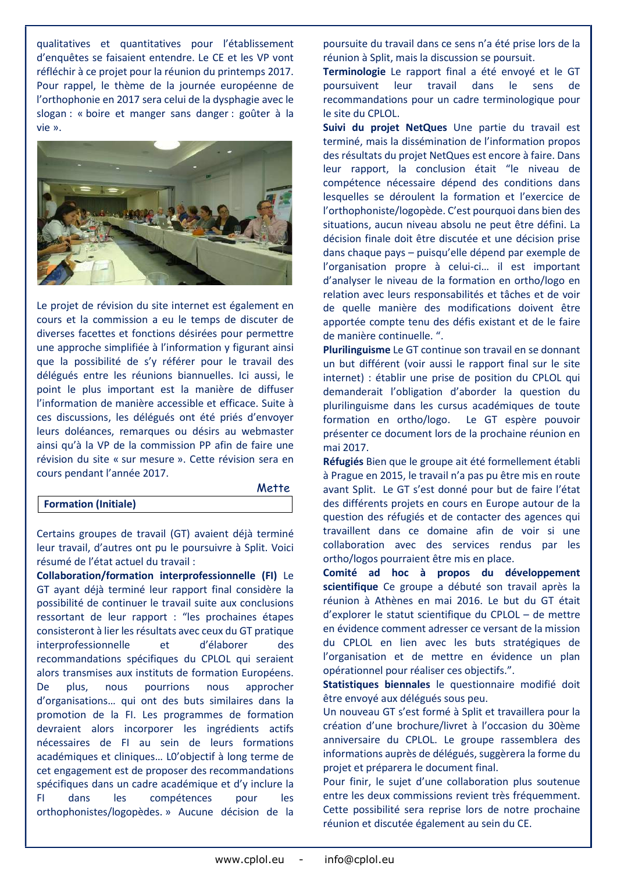qualitatives et quantitatives pour l'établissement d'enquêtes se faisaient entendre. Le CE et les VP vont réfléchir à ce projet pour la réunion du printemps 2017. Pour rappel, le thème de la journée européenne de l'orthophonie en 2017 sera celui de la dysphagie avec le slogan : « boire et manger sans danger : goûter à la vie ».



Le projet de révision du site internet est également en cours et la commission a eu le temps de discuter de diverses facettes et fonctions désirées pour permettre une approche simplifiée à l'information y figurant ainsi que la possibilité de s'y référer pour le travail des délégués entre les réunions biannuelles. Ici aussi, le point le plus important est la manière de diffuser l'information de manière accessible et efficace. Suite à ces discussions, les délégués ont été priés d'envoyer leurs doléances, remarques ou désirs au webmaster ainsi qu'à la VP de la commission PP afin de faire une révision du site « sur mesure ». Cette révision sera en cours pendant l'année 2017.

|                             | <b>MEIIE</b> |
|-----------------------------|--------------|
| <b>Formation (Initiale)</b> |              |

Certains groupes de travail (GT) avaient déjà terminé leur travail, d'autres ont pu le poursuivre à Split. Voici résumé de l'état actuel du travail :

Collaboration/formation interprofessionnelle (FI) Le GT ayant déjà terminé leur rapport final considère la possibilité de continuer le travail suite aux conclusions ressortant de leur rapport : "les prochaines étapes consisteront à lier les résultats avec ceux du GT pratique interprofessionnelle et d'élaborer des recommandations spécifiques du CPLOL qui seraient alors transmises aux instituts de formation Européens. De plus, nous pourrions nous approcher d'organisations… qui ont des buts similaires dans la promotion de la FI. Les programmes de formation devraient alors incorporer les ingrédients actifs nécessaires de FI au sein de leurs formations académiques et cliniques… L0'objectif à long terme de cet engagement est de proposer des recommandations spécifiques dans un cadre académique et d'y inclure la FI dans les compétences pour les orthophonistes/logopèdes. » Aucune décision de la poursuite du travail dans ce sens n'a été prise lors de la réunion à Split, mais la discussion se poursuit.

Terminologie Le rapport final a été envoyé et le GT poursuivent leur travail dans le sens de recommandations pour un cadre terminologique pour le site du CPLOL.

Suivi du projet NetQues Une partie du travail est terminé, mais la dissémination de l'information propos des résultats du projet NetQues est encore à faire. Dans leur rapport, la conclusion était "le niveau de compétence nécessaire dépend des conditions dans lesquelles se déroulent la formation et l'exercice de l'orthophoniste/logopède. C'est pourquoi dans bien des situations, aucun niveau absolu ne peut être défini. La décision finale doit être discutée et une décision prise dans chaque pays – puisqu'elle dépend par exemple de l'organisation propre à celui-ci… il est important d'analyser le niveau de la formation en ortho/logo en relation avec leurs responsabilités et tâches et de voir de quelle manière des modifications doivent être apportée compte tenu des défis existant et de le faire de manière continuelle. ".

Plurilinguisme Le GT continue son travail en se donnant un but différent (voir aussi le rapport final sur le site internet) : établir une prise de position du CPLOL qui demanderait l'obligation d'aborder la question du plurilinguisme dans les cursus académiques de toute formation en ortho/logo. Le GT espère pouvoir présenter ce document lors de la prochaine réunion en mai 2017.

Réfugiés Bien que le groupe ait été formellement établi à Prague en 2015, le travail n'a pas pu être mis en route avant Split. Le GT s'est donné pour but de faire l'état des différents projets en cours en Europe autour de la question des réfugiés et de contacter des agences qui travaillent dans ce domaine afin de voir si une collaboration avec des services rendus par les ortho/logos pourraient être mis en place.

Comité ad hoc à propos du développement scientifique Ce groupe a débuté son travail après la réunion à Athènes en mai 2016. Le but du GT était d'explorer le statut scientifique du CPLOL – de mettre en évidence comment adresser ce versant de la mission du CPLOL en lien avec les buts stratégiques de l'organisation et de mettre en évidence un plan opérationnel pour réaliser ces objectifs.".

Statistiques biennales le questionnaire modifié doit être envoyé aux délégués sous peu.

Un nouveau GT s'est formé à Split et travaillera pour la création d'une brochure/livret à l'occasion du 30ème anniversaire du CPLOL. Le groupe rassemblera des informations auprès de délégués, suggèrera la forme du projet et préparera le document final.

Pour finir, le sujet d'une collaboration plus soutenue entre les deux commissions revient très fréquemment. Cette possibilité sera reprise lors de notre prochaine réunion et discutée également au sein du CE.

Mette